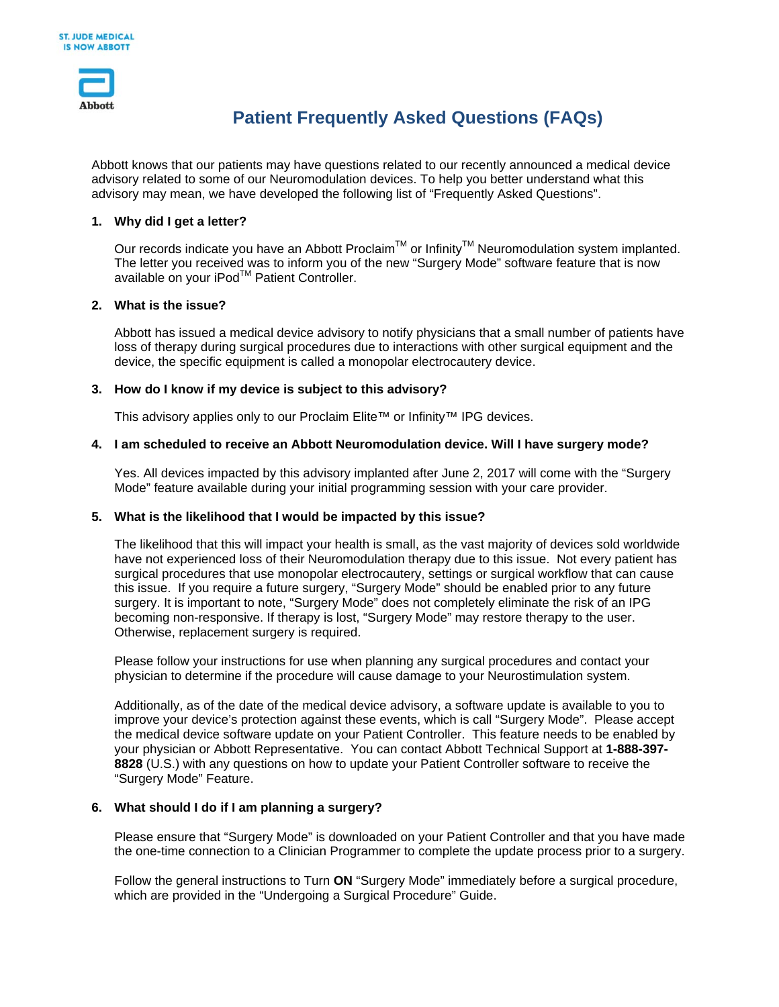

# **Patient Frequently Asked Questions (FAQs)**

Abbott knows that our patients may have questions related to our recently announced a medical device advisory related to some of our Neuromodulation devices. To help you better understand what this advisory may mean, we have developed the following list of "Frequently Asked Questions".

## **1. Why did I get a letter?**

Our records indicate you have an Abbott Proclaim™ or Infinity<sup>™</sup> Neuromodulation system implanted. The letter you received was to inform you of the new "Surgery Mode" software feature that is now available on your iPod™ Patient Controller.

### **2. What is the issue?**

Abbott has issued a medical device advisory to notify physicians that a small number of patients have loss of therapy during surgical procedures due to interactions with other surgical equipment and the device, the specific equipment is called a monopolar electrocautery device.

## **3. How do I know if my device is subject to this advisory?**

This advisory applies only to our Proclaim Elite™ or Infinity™ IPG devices.

## **4. I am scheduled to receive an Abbott Neuromodulation device. Will I have surgery mode?**

Yes. All devices impacted by this advisory implanted after June 2, 2017 will come with the "Surgery Mode" feature available during your initial programming session with your care provider.

### **5. What is the likelihood that I would be impacted by this issue?**

The likelihood that this will impact your health is small, as the vast majority of devices sold worldwide have not experienced loss of their Neuromodulation therapy due to this issue. Not every patient has surgical procedures that use monopolar electrocautery, settings or surgical workflow that can cause this issue. If you require a future surgery, "Surgery Mode" should be enabled prior to any future surgery. It is important to note, "Surgery Mode" does not completely eliminate the risk of an IPG becoming non-responsive. If therapy is lost, "Surgery Mode" may restore therapy to the user. Otherwise, replacement surgery is required.

Please follow your instructions for use when planning any surgical procedures and contact your physician to determine if the procedure will cause damage to your Neurostimulation system.

Additionally, as of the date of the medical device advisory, a software update is available to you to improve your device's protection against these events, which is call "Surgery Mode". Please accept the medical device software update on your Patient Controller. This feature needs to be enabled by your physician or Abbott Representative. You can contact Abbott Technical Support at **1-888-397- 8828** (U.S.) with any questions on how to update your Patient Controller software to receive the "Surgery Mode" Feature.

### **6. What should I do if I am planning a surgery?**

Please ensure that "Surgery Mode" is downloaded on your Patient Controller and that you have made the one-time connection to a Clinician Programmer to complete the update process prior to a surgery.

Follow the general instructions to Turn **ON** "Surgery Mode" immediately before a surgical procedure, which are provided in the "Undergoing a Surgical Procedure" Guide.